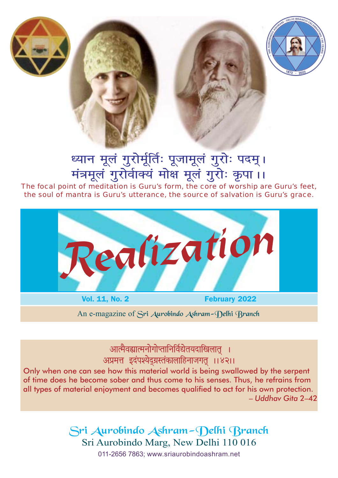



# ध्यान मूलं गुरोर्मूर्तिः पूजामूलं गुरोः पदम्। मंत्रमूल गुरोवीक्यं मोक्षं मूलं गुरोः कृपा।।

The focal point of meditation is Guru's form, the core of worship are Guru's feet, the soul of mantra is Guru's utterance, the source of salvation is Guru's grace.



An e-magazine of Sri Aurobindo Ashram-Delhi Branch

आत्मैवह्यात्मनोगोप्तानिर्विद्येतयदाखिलात् । ेअप्रमत्तं इदंपश्येद्**ग्रस्तंकालाहिनाजगत् ।।४२।**।

Only when one can see how this material world is being swallowed by the serpent of time does he become sober and thus come to his senses. Thus, he refrains from all types of material enjoyment and becomes qualified to act for his own protection. – *Uddhav Gita* 2–42

> Sri Aurobindo Ashram-Delhi Branch Sri Aurobindo Marg, New Delhi 110 016

011-2656 7863; www.sriaurobindoashram.net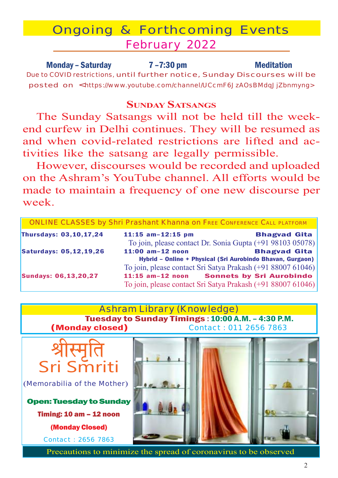# Ongoing & Forthcoming Events February 2022

Monday – Saturday **7 – 7:30 pm** Meditation Due to COVID restrictions, until further notice, Sunday Discourses will be posted on <https://www.youtube.com/channel/UCcmF6JzAOsBMdqJjZbnmyng>

## **SUNDAY SATSANGS**

The Sunday Satsangs will not be held till the weekend curfew in Delhi continues. They will be resumed as and when covid-related restrictions are lifted and activities like the satsang are legally permissible.

However, discourses would be recorded and uploaded on the Ashram's YouTube channel. All efforts would be made to maintain a frequency of one new discourse per week.

|                               | <b>ONLINE CLASSES by Shri Prashant Khanna on FREE CONFERENCE CALL PLATFORM</b> |                     |
|-------------------------------|--------------------------------------------------------------------------------|---------------------|
| <b>Thursdays: 03,10,17,24</b> | $11:15$ am-12:15 pm                                                            | <b>Bhagvad Gita</b> |
|                               | To join, please contact Dr. Sonia Gupta (+91 98103 05078)                      |                     |
| <b>Saturdays: 05,12,19,26</b> | 11:00 am-12 noon                                                               | <b>Bhagvad Gita</b> |
|                               | Hybrid - Online + Physical (Sri Aurobindo Bhavan, Gurgaon)                     |                     |
|                               | To join, please contact Sri Satya Prakash (+91 88007 61046)                    |                     |
| <b>Sundays: 06,13,20,27</b>   | 11:15 am-12 noon Sonnets by Sri Aurobindo                                      |                     |
|                               | To join, please contact Sri Satya Prakash (+91 88007 61046)                    |                     |

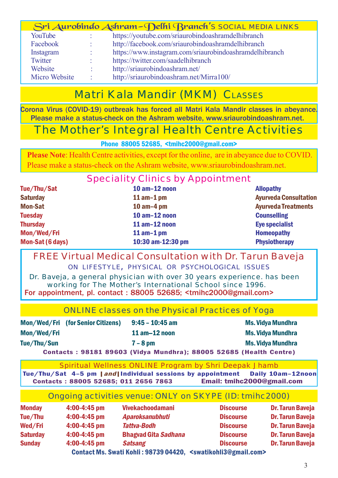|               |   | Sri Aurobindo Ashram-Delhi Branch's SOCIAL MEDIA LINKS  |
|---------------|---|---------------------------------------------------------|
| YouTube       | ÷ | https://youtube.com/sriaurobindoashramdelhibranch       |
| Facebook      |   | http://facebook.com/sriaurobindoashramdelhibranch       |
| Instagram     | ÷ | https://www.instagram.com/sriaurobindoashramdelhibranch |
| Twitter       | ÷ | https://twitter.com/saadelhibranch                      |
| Website       |   | http://sriaurobindoashram.net/                          |
| Micro Website | ÷ | http://sriaurobindoashram.net/Mirra100/                 |

## Matri Kala Mandir (MKM) CLASSES

Corona Virus (COVID-19) outbreak has forced all Matri Kala Mandir classes in abeyance. Please make a status-check on the Ashram website, www.sriaurobindoashram.net.

The Mother's Integral Health Centre Activities

Phone 88005 52685, <tmihc2000@gmail.com>

**Please Note**: Health Centre activities, except for the online, are in abeyance due to COVID. Please make a status-check on the Ashram website, www.sriaurobindoashram.net.

### Speciality Clinics by Appointment

| Tue/Thu/Sat      | 10 am-12 noon     | <b>Allopathy</b>             |  |
|------------------|-------------------|------------------------------|--|
| <b>Saturday</b>  | 11 am $-1$ pm     | <b>Ayurveda Consultation</b> |  |
| <b>Mon-Sat</b>   | $10$ am-4 pm      | <b>Ayurveda Treatments</b>   |  |
| <b>Tuesday</b>   | 10 am-12 noon     | <b>Counselling</b>           |  |
| <b>Thursday</b>  | 11 am-12 noon     | <b>Eye specialist</b>        |  |
| Mon/Wed/Fri      | 11 am $-1$ pm     | <b>Homeopathy</b>            |  |
| Mon-Sat (6 days) | 10:30 am-12:30 pm | <b>Physiotherapy</b>         |  |

### FREE Virtual Medical Consultation with Dr. Tarun Baveja ON LIFESTYLE, PHYSICAL OR PSYCHOLOGICAL ISSUES

Dr. Baveja, a general physician with over 30 years experience. has been working for The Mother's International School since 1996. For appointment, pl. contact : 88005 52685; <tmihc2000@gmail.com>

ONLINE classes on the Physical Practices of Yoga

Mon/Wed/Fri (for Senior Citizens) 9:45 - 10:45 am Ms. Vidya Mundhra Mon/Wed/Fri 2012 11 am–12 noon Ms. Vidya Mundhra

Tue/Thu/Sun 7 – 8 pm Ms. Vidya Mundhra

Contacts : 98181 89603 (Vidya Mundhra); 88005 52685 (Health Centre)

Spiritual Wellness ONLINE Program by Shri Deepak Jhamb

 Tue/Thu/Sat 4–5 pm |and|Individual sessions by appointment Daily 10am–12noon Contacts : 88005 52685; 011 2656 7863 Email: tmihc2000@gmail.com

### Ongoing activities venue: ONLY on SKYPE (ID: tmihc2000)

| <b>Monday</b>   | $4:00 - 4:45$ pm | <b>Vivekachoodamani</b>     | <b>Discourse</b>                                                                      | <b>Dr. Tarun Baveja</b> |
|-----------------|------------------|-----------------------------|---------------------------------------------------------------------------------------|-------------------------|
| Tue/Thu         | $4:00 - 4:45$ pm | <b>Aparoksanubhuti</b>      | <b>Discourse</b>                                                                      | <b>Dr. Tarun Baveja</b> |
| Wed/Fri         | $4:00 - 4:45$ pm | <b>Tattva-Bodh</b>          | <b>Discourse</b>                                                                      | <b>Dr. Tarun Baveja</b> |
| <b>Saturday</b> | $4:00 - 4:45$ pm | <b>Bhagvad Gita Sadhana</b> | <b>Discourse</b>                                                                      | <b>Dr. Tarun Baveja</b> |
| <b>Sunday</b>   | $4:00 - 4:45$ pm | <b>Satsang</b>              | <b>Discourse</b>                                                                      | <b>Dr. Tarun Baveja</b> |
|                 |                  |                             | Contact Ms. Swati Kohli: 98739 04420, <swatikohli3@gmail.com></swatikohli3@gmail.com> |                         |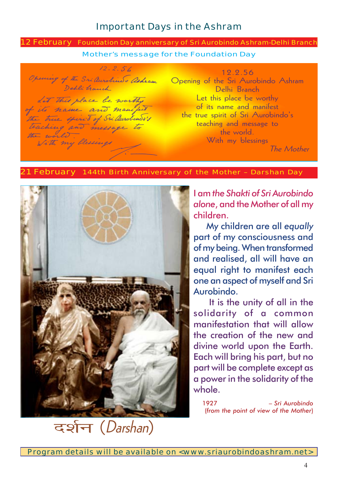## Important Days in the Ashram

### 2 February Foundation Day anniversary of Sri Aurobindo Ashram-Delhi Branch

#### Mother's message for the Foundation Day

 $12 - 2.56$ 12.2.56 Opening of the Sni aurobius a ashram Opening of the Sri Aurobindo Ashram Debli tranch Delhi Branch Let this place be worthy det This place be worthy of its name and manifest of its name and manifest the true spirit of Sri Aurobindo's the true spirit of Sri Aurobindo's teaching and message to teaching and message to the world. the world. With my blessings With my blessings The Mother

#### February 144th Birth Anniversary of the Mother - Darshan Day

I am *the Shakti of Sri Aurobindo alone*, and the Mother of all my children.

 My children are all *equally* part of my consciousness and of my being. When transformed and realised, all will have an equal right to manifest each one an aspect of myself and Sri Aurobindo.

 It is the unity of all in the solidarity of a common manifestation that will allow the creation of the new and divine world upon the Earth. Each will bring his part, but no part will be complete except as a power in the solidarity of the whole.

 1927 – *Sri Aurobindo* (*from the point of view of the Mother*)

दर्शन (Darshan)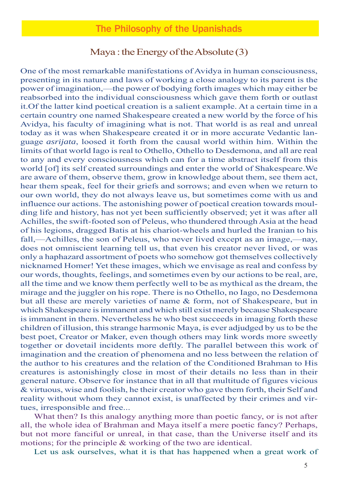### Maya : the Energy of the Absolute (3)

One of the most remarkable manifestations of Avidya in human consciousness, presenting in its nature and laws of working a close analogy to its parent is the power of imagination,—the power of bodying forth images which may either be reabsorbed into the individual consciousness which gave them forth or outlast it.Of the latter kind poetical creation is a salient example. At a certain time in a certain country one named Shakespeare created a new world by the force of his Avidya, his faculty of imagining what is not. That world is as real and unreal today as it was when Shakespeare created it or in more accurate Vedantic language *asrijata*, loosed it forth from the causal world within him. Within the limits of that world Iago is real to Othello, Othello to Desdemona, and all are real to any and every consciousness which can for a time abstract itself from this world [of] its self created surroundings and enter the world of Shakespeare.We are aware of them, observe them, grow in knowledge about them, see them act, hear them speak, feel for their griefs and sorrows; and even when we return to our own world, they do not always leave us, but sometimes come with us and influence our actions. The astonishing power of poetical creation towards moulding life and history, has not yet been sufficiently observed; yet it was after all Achilles, the swift-footed son of Peleus, who thundered through Asia at the head of his legions, dragged Batis at his chariot-wheels and hurled the Iranian to his fall,—Achilles, the son of Peleus, who never lived except as an image,—nay, does not omniscient learning tell us, that even his creator never lived, or was only a haphazard assortment of poets who somehow got themselves collectively nicknamed Homer! Yet these images, which we envisage as real and confess by our words, thoughts, feelings, and sometimes even by our actions to be real, are, all the time and we know them perfectly well to be as mythical as the dream, the mirage and the juggler on his rope. There is no Othello, no Iago, no Desdemona but all these are merely varieties of name & form, not of Shakespeare, but in which Shakespeare is immanent and which still exist merely because Shakespeare is immanent in them. Nevertheless he who best succeeds in imaging forth these children of illusion, this strange harmonic Maya, is ever adjudged by us to be the best poet, Creator or Maker, even though others may link words more sweetly together or dovetail incidents more deftly. The parallel between this work of imagination and the creation of phenomena and no less between the relation of the author to his creatures and the relation of the Conditioned Brahman to His creatures is astonishingly close in most of their details no less than in their general nature. Observe for instance that in all that multitude of figures vicious & virtuous, wise and foolish, he their creator who gave them forth, their Self and reality without whom they cannot exist, is unaffected by their crimes and virtues, irresponsible and free...

What then? Is this analogy anything more than poetic fancy, or is not after all, the whole idea of Brahman and Maya itself a mere poetic fancy? Perhaps, but not more fanciful or unreal, in that case, than the Universe itself and its motions; for the principle & working of the two are identical.

Let us ask ourselves, what it is that has happened when a great work of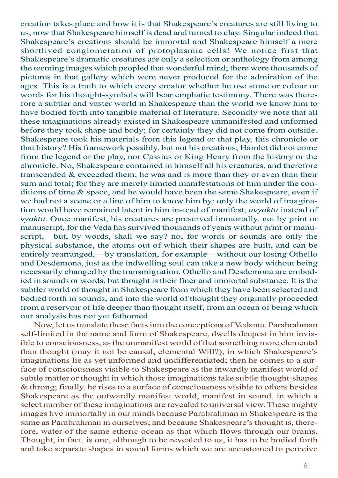creation takes place and how it is that Shakespeare's creatures are still living to us, now that Shakespeare himself is dead and turned to clay. Singular indeed that Shakespeare's creations should be immortal and Shakespeare himself a mere shortlived conglomeration of protoplasmic cells! We notice first that Shakespeare's dramatic creatures are only a selection or anthology from among the teeming images which peopled that wonderful mind; there were thousands of pictures in that gallery which were never produced for the admiration of the ages. This is a truth to which every creator whether he use stone or colour or words for his thought-symbols will bear emphatic testimony. There was therefore a subtler and vaster world in Shakespeare than the world we know him to have bodied forth into tangible material of literature. Secondly we note that all these imaginations already existed in Shakespeare unmanifested and unformed before they took shape and body; for certainly they did not come from outside. Shakespeare took his materials from this legend or that play, this chronicle or that history? His framework possibly, but not his creations; Hamlet did not come from the legend or the play, nor Cassius or King Henry from the history or the chronicle. No, Shakespeare contained in himself all his creatures, and therefore transcended & exceeded them; he was and is more than they or even than their sum and total; for they are merely limited manifestations of him under the conditions of time & space, and he would have been the same Shakespeare, even if we had not a scene or a line of him to know him by; only the world of imagination would have remained latent in him instead of manifest, *avyakta* instead of *vyakta*. Once manifest, his creatures are preserved immortally, not by print or manuscript, for the Veda has survived thousands of years without print or manuscript,—but, by words, shall we say? no, for words or sounds are only the physical substance, the atoms out of which their shapes are built, and can be entirely rearranged,—by translation, for example—without our losing Othello and Desdemona, just as the indwelling soul can take a new body without being necessarily changed by the transmigration. Othello and Desdemona are embodied in sounds or words, but thought is their finer and immortal substance. It is the subtler world of thought in Shakespeare from which they have been selected and bodied forth in sounds, and into the world of thought they originally proceeded from a reservoir of life deeper than thought itself, from an ocean of being which our analysis has not yet fathomed.

Now, let us translate these facts into the conceptions of Vedanta. Parabrahman self-limited in the name and form of Shakespeare, dwells deepest in him invisible to consciousness, as the unmanifest world of that something more elemental than thought (may it not be causal, elemental Will?), in which Shakespeare's imaginations lie as yet unformed and undifferentiated; then he comes to a surface of consciousness visible to Shakespeare as the inwardly manifest world of subtle matter or thought in which those imaginations take subtle thought-shapes & throng; finally, he rises to a surface of consciousness visible to others besides Shakespeare as the outwardly manifest world, manifest in sound, in which a select number of these imaginations are revealed to universal view. These mighty images live immortally in our minds because Parabrahman in Shakespeare is the same as Parabrahman in ourselves; and because Shakespeare's thought is, therefore, water of the same etheric ocean as that which flows through our brains. Thought, in fact, is one, although to be revealed to us, it has to be bodied forth and take separate shapes in sound forms which we are accustomed to perceive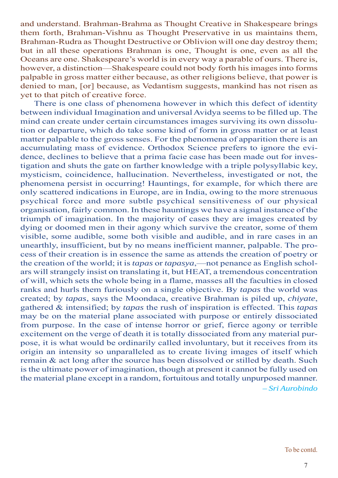and understand. Brahman-Brahma as Thought Creative in Shakespeare brings them forth, Brahman-Vishnu as Thought Preservative in us maintains them, Brahman-Rudra as Thought Destructive or Oblivion will one day destroy them; but in all these operations Brahman is one, Thought is one, even as all the Oceans are one. Shakespeare's world is in every way a parable of ours. There is, however, a distinction—Shakespeare could not body forth his images into forms palpable in gross matter either because, as other religions believe, that power is denied to man, [or] because, as Vedantism suggests, mankind has not risen as yet to that pitch of creative force.

There is one class of phenomena however in which this defect of identity between individual Imagination and universal Avidya seems to be filled up. The mind can create under certain circumstances images surviving its own dissolution or departure, which do take some kind of form in gross matter or at least matter palpable to the gross senses. For the phenomena of apparition there is an accumulating mass of evidence. Orthodox Science prefers to ignore the evidence, declines to believe that a prima facie case has been made out for investigation and shuts the gate on farther knowledge with a triple polysyllabic key, mysticism, coincidence, hallucination. Nevertheless, investigated or not, the phenomena persist in occurring! Hauntings, for example, for which there are only scattered indications in Europe, are in India, owing to the more strenuous psychical force and more subtle psychical sensitiveness of our physical organisation, fairly common. In these hauntings we have a signal instance of the triumph of imagination. In the majority of cases they are images created by dying or doomed men in their agony which survive the creator, some of them visible, some audible, some both visible and audible, and in rare cases in an unearthly, insufficient, but by no means inefficient manner, palpable. The process of their creation is in essence the same as attends the creation of poetry or the creation of the world; it is *tapas* or *tapasya*,—not penance as English scholars will strangely insist on translating it, but HEAT, a tremendous concentration of will, which sets the whole being in a flame, masses all the faculties in closed ranks and hurls them furiously on a single objective. By *tapas* the world was created; by *tapas*, says the Moondaca, creative Brahman is piled up, *chiyate*, gathered & intensified; by *tapas* the rush of inspiration is effected. This *tapas* may be on the material plane associated with purpose or entirely dissociated from purpose. In the case of intense horror or grief, fierce agony or terrible excitement on the verge of death it is totally dissociated from any material purpose, it is what would be ordinarily called involuntary, but it receives from its origin an intensity so unparalleled as to create living images of itself which remain & act long after the source has been dissolved or stilled by death. Such is the ultimate power of imagination, though at present it cannot be fully used on the material plane except in a random, fortuitous and totally unpurposed manner. *– Sri Aurobindo*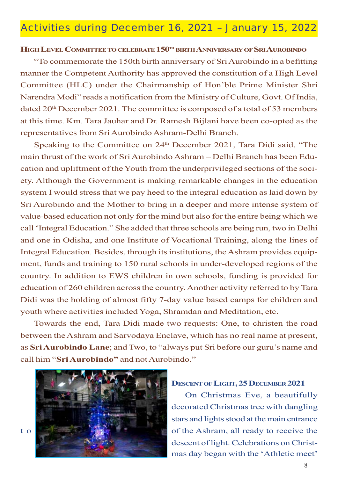## Activities during December 16, 2021 – January 15, 2022

### **HIGH LEVEL COMMITTEETOCELEBRATE 150TH BIRTH ANNIVERSARYOF SRI AUROBINDO**

"To commemorate the 150th birth anniversary of Sri Aurobindo in a befitting manner the Competent Authority has approved the constitution of a High Level Committee (HLC) under the Chairmanship of Hon'ble Prime Minister Shri Narendra Modi" reads a notification from the Ministry of Culture, Govt. Of India, dated 20<sup>th</sup> December 2021. The committee is composed of a total of 53 members at this time. Km. Tara Jauhar and Dr. Ramesh Bijlani have been co-opted as the representatives from Sri Aurobindo Ashram-Delhi Branch.

Speaking to the Committee on 24<sup>th</sup> December 2021, Tara Didi said, "The main thrust of the work of Sri Aurobindo Ashram – Delhi Branch has been Education and upliftment of the Youth from the underprivileged sections of the society. Although the Government is making remarkable changes in the education system I would stress that we pay heed to the integral education as laid down by Sri Aurobindo and the Mother to bring in a deeper and more intense system of value-based education not only for the mind but also for the entire being which we call 'Integral Education." She added that three schools are being run, two in Delhi and one in Odisha, and one Institute of Vocational Training, along the lines of Integral Education. Besides, through its institutions, the Ashram provides equipment, funds and training to 150 rural schools in under-developed regions of the country. In addition to EWS children in own schools, funding is provided for education of 260 children across the country. Another activity referred to by Tara Didi was the holding of almost fifty 7-day value based camps for children and youth where activities included Yoga, Shramdan and Meditation, etc.

Towards the end, Tara Didi made two requests: One, to christen the road between the Ashram and Sarvodaya Enclave, which has no real name at present, as **Sri Aurobindo Lane**; and Two, to "always put Sri before our guru's name and call him "**Sri Aurobindo"** and not Aurobindo."



### **DESCENTOF LIGHT, 25 DECEMBER 2021**

On Christmas Eve, a beautifully decorated Christmas tree with dangling stars and lights stood at the main entrance t o **of the Ashram**, all ready to receive the descent of light. Celebrations on Christmas day began with the 'Athletic meet'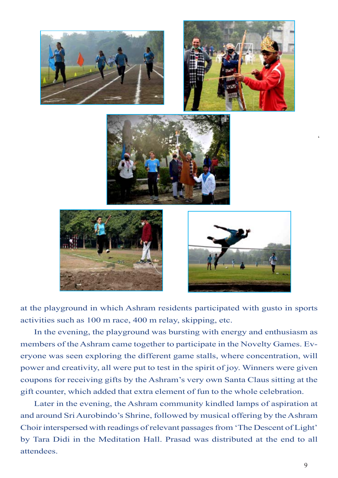

at the playground in which Ashram residents participated with gusto in sports activities such as 100 m race, 400 m relay, skipping, etc.

In the evening, the playground was bursting with energy and enthusiasm as members of the Ashram came together to participate in the Novelty Games. Everyone was seen exploring the different game stalls, where concentration, will power and creativity, all were put to test in the spirit of joy. Winners were given coupons for receiving gifts by the Ashram's very own Santa Claus sitting at the gift counter, which added that extra element of fun to the whole celebration.

Later in the evening, the Ashram community kindled lamps of aspiration at and around Sri Aurobindo's Shrine, followed by musical offering by the Ashram Choir interspersed with readings of relevant passages from 'The Descent of Light' by Tara Didi in the Meditation Hall. Prasad was distributed at the end to all attendees.

 $\zeta$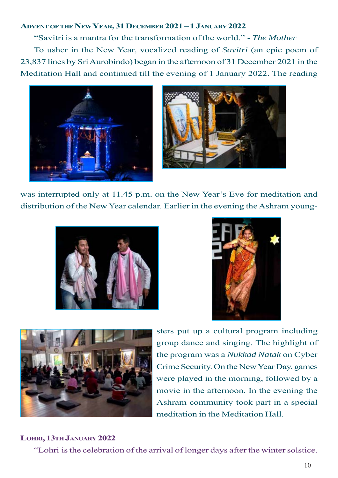### **ADVENTOFTHE NEW YEAR, 31 DECEMBER 2021 – 1 JANUARY 2022**

"Savitri is a mantra for the transformation of the world." - *The Mother*

To usher in the New Year, vocalized reading of *Savitri* (an epic poem of 23,837 lines by Sri Aurobindo) began in the afternoon of 31 December 2021 in the Meditation Hall and continued till the evening of 1 January 2022. The reading





was interrupted only at 11.45 p.m. on the New Year's Eve for meditation and distribution of the New Year calendar. Earlier in the evening the Ashram young-







sters put up a cultural program including group dance and singing. The highlight of the program was a *Nukkad Natak* on Cyber Crime Security. On the New Year Day, games were played in the morning, followed by a movie in the afternoon. In the evening the Ashram community took part in a special meditation in the Meditation Hall.

### **LOHRI, 13TH JANUARY 2022**

"Lohri is the celebration of the arrival of longer days after the winter solstice.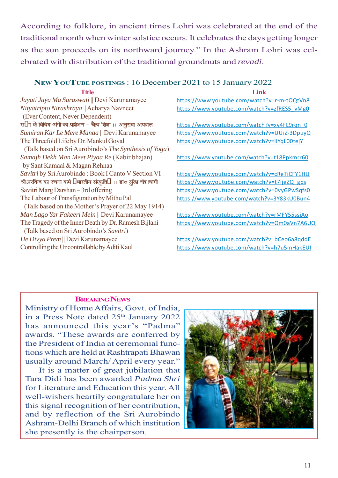According to folklore, in ancient times Lohri was celebrated at the end of the traditional month when winter solstice occurs. It celebrates the days getting longer as the sun proceeds on its northward journey." In the Ashram Lohri was celebrated with distribution of the traditional groundnuts and *revadi*.

### **NEW YOUTUBE POSTINGS** : 16 December 2021 to 15 January 2022

**Title** Link

*Jayati Jaya Ma Saraswati* || Devi Karunamayee *Nityatripto Nirashraya* || Acharya Navneet (Ever Content, Never Dependent) स $\acute{\text{a}}$ ा के विविध अंगों का प्रशिक्षण – चैत्य शिक्षा ।। अनुराधा अग्रवाल *Sumiran Kar Le Mere Manaa* || Devi Karunamayee The Threefold Life by Dr. Mankul Goyal (Talk based on Sri Aurobindo's *The Synthesis of Yoga*) *Samajh Dekh Man Meet Piyaa Re* (Kabir bhajan) by Sant Kamaal & Magan Rehnaa *Savitri* by Sri Aurobindo : Book I Canto V Section VI श्रीअरविन्द का रचना कर्म र्टाभारतीय संस्कृतिर्टा ।। डा० सुरेश चंद्र त्यागी Savitri Marg Darshan – 3rd offering The Labour of Transfiguration by Mithu Pal (Talk based on the Mother's Prayer of 22 May 1914) *Man Lago Yar Fakeeri Mein* || Devi Karunamayee The Tragedy of the Inner Death by Dr. Ramesh Bijlani (Talk based on Sri Aurobindo's *Savitri*) *He Divya Prem* || Devi Karunamayee Controlling the Uncontrollable by Aditi Kaul

https://www.youtube.com/watch?v=r-m-tOQtVn8 https://www.youtube.com/watch?v=zfRES5\_vMg0

https://www.youtube.com/watch?v=xy4FL9rqn\_0 https://www.youtube.com/watch?v=UUiZ-3DpuyQ https://www.youtube.com/watch?v=lIYqL00tejY

https://www.youtube.com/watch?v=t18Ppkmrr60

https://www.youtube.com/watch?v=cReTiCFY1HU https://www.youtube.com/watch?v=t7ijeZQ\_gps https://www.youtube.com/watch?v=0vyGPwSqfs0 https://www.youtube.com/watch?v=3Y83kU0Bun4

https://www.youtube.com/watch?v=rMFY55ssjAo https://www.youtube.com/watch?v=Om0aVn7A6UQ

https://www.youtube.com/watch?v=bCeo6a8qddE https://www.youtube.com/watch?v=h7u5mHakEUI

### **BREAKING NEWS**

Ministry of Home Affairs, Govt. of India, in a Press Note dated 25<sup>th</sup> January 2022 has announced this year's "Padma" awards. "These awards are conferred by the President of India at ceremonial functions which are held at Rashtrapati Bhawan usually around March/ April every year."

It is a matter of great jubilation that Tara Didi has been awarded *Padma Shri* for Literature and Education this year. All well-wishers heartily congratulate her on this signal recognition of her contribution, and by reflection of the Sri Aurobindo Ashram-Delhi Branch of which institution she presently is the chairperson.

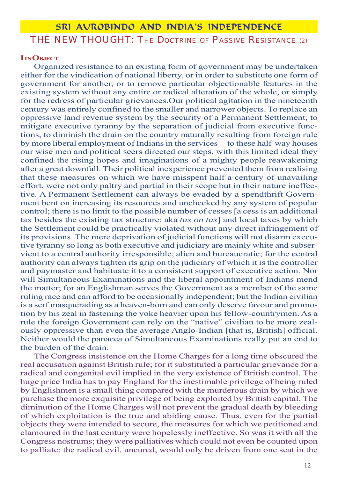### SRI AUROBINDO AND INDIA'S INDEPENDENCE

THE NEW THOUGHT: THE DOCTRINE OF PASSIVE RESISTANCE (2)

### **ITS OBJECT**

Organized resistance to an existing form of government may be undertaken either for the vindication of national liberty, or in order to substitute one form of government for another, or to remove particular objectionable features in the existing system without any entire or radical alteration of the whole, or simply for the redress of particular grievances.Our political agitation in the nineteenth century was entirely confined to the smaller and narrower objects. To replace an oppressive land revenue system by the security of a Permanent Settlement, to mitigate executive tyranny by the separation of judicial from executive functions, to diminish the drain on the country naturally resulting from foreign rule by more liberal employment of Indians in the services—to these half-way houses our wise men and political seers directed our steps, with this limited ideal they confined the rising hopes and imaginations of a mighty people reawakening after a great downfall. Their political inexperience prevented them from realising that these measures on which we have misspent half a century of unavailing effort, were not only paltry and partial in their scope but in their nature ineffective. A Permanent Settlement can always be evaded by a spendthrift Government bent on increasing its resources and unchecked by any system of popular control; there is no limit to the possible number of cesses [a cess is an additional tax besides the existing tax structure; aka *tax on tax*] and local taxes by which the Settlement could be practically violated without any direct infringement of its provisions. The mere deprivation of judicial functions will not disarm executive tyranny so long as both executive and judiciary are mainly white and subservient to a central authority irresponsible, alien and bureaucratic; for the central authority can always tighten its grip on the judiciary of which it is the controller and paymaster and habituate it to a consistent support of executive action. Nor will Simultaneous Examinations and the liberal appointment of Indians mend the matter; for an Englishman serves the Government as a member of the same ruling race and can afford to be occasionally independent; but the Indian civilian is a serf masquerading as a heaven-born and can only deserve favour and promotion by his zeal in fastening the yoke heavier upon his fellow-countrymen. As a rule the foreign Government can rely on the "native" civilian to be more zealously oppressive than even the average Anglo-Indian [that is, British] official. Neither would the panacea of Simultaneous Examinations really put an end to the burden of the drain.

The Congress insistence on the Home Charges for a long time obscured the real accusation against British rule; for it substituted a particular grievance for a radical and congenital evil implied in the very existence of British control. The huge price India has to pay England for the inestimable privilege of being ruled by Englishmen is a small thing compared with the murderous drain by which we purchase the more exquisite privilege of being exploited by British capital. The diminution of the Home Charges will not prevent the gradual death by bleeding of which exploitation is the true and abiding cause. Thus, even for the partial objects they were intended to secure, the measures for which we petitioned and clamoured in the last century were hopelessly ineffective. So was it with all the Congress nostrums; they were palliatives which could not even be counted upon to palliate; the radical evil, uncured, would only be driven from one seat in the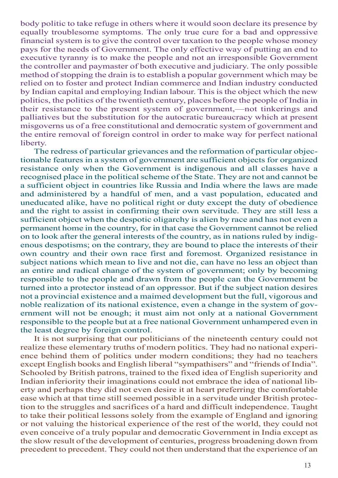body politic to take refuge in others where it would soon declare its presence by equally troublesome symptoms. The only true cure for a bad and oppressive financial system is to give the control over taxation to the people whose money pays for the needs of Government. The only effective way of putting an end to executive tyranny is to make the people and not an irresponsible Government the controller and paymaster of both executive and judiciary. The only possible method of stopping the drain is to establish a popular government which may be relied on to foster and protect Indian commerce and Indian industry conducted by Indian capital and employing Indian labour. This is the object which the new politics, the politics of the twentieth century, places before the people of India in their resistance to the present system of government,—not tinkerings and palliatives but the substitution for the autocratic bureaucracy which at present misgoverns us of a free constitutional and democratic system of government and the entire removal of foreign control in order to make way for perfect national liberty.

The redress of particular grievances and the reformation of particular objectionable features in a system of government are sufficient objects for organized resistance only when the Government is indigenous and all classes have a recognised place in the political scheme of the State. They are not and cannot be a sufficient object in countries like Russia and India where the laws are made and administered by a handful of men, and a vast population, educated and uneducated alike, have no political right or duty except the duty of obedience and the right to assist in confirming their own servitude. They are still less a sufficient object when the despotic oligarchy is alien by race and has not even a permanent home in the country, for in that case the Government cannot be relied on to look after the general interests of the country, as in nations ruled by indigenous despotisms; on the contrary, they are bound to place the interests of their own country and their own race first and foremost. Organized resistance in subject nations which mean to live and not die, can have no less an object than an entire and radical change of the system of government; only by becoming responsible to the people and drawn from the people can the Government be turned into a protector instead of an oppressor. But if the subject nation desires not a provincial existence and a maimed development but the full, vigorous and noble realization of its national existence, even a change in the system of government will not be enough; it must aim not only at a national Government responsible to the people but at a free national Government unhampered even in the least degree by foreign control.

It is not surprising that our politicians of the nineteenth century could not realize these elementary truths of modern politics. They had no national experience behind them of politics under modern conditions; they had no teachers except English books and English liberal "sympathisers" and "friends of India". Schooled by British patrons, trained to the fixed idea of English superiority and Indian inferiority their imaginations could not embrace the idea of national liberty and perhaps they did not even desire it at heart preferring the comfortable ease which at that time still seemed possible in a servitude under British protection to the struggles and sacrifices of a hard and difficult independence. Taught to take their political lessons solely from the example of England and ignoring or not valuing the historical experience of the rest of the world, they could not even conceive of a truly popular and democratic Government in India except as the slow result of the development of centuries, progress broadening down from precedent to precedent. They could not then understand that the experience of an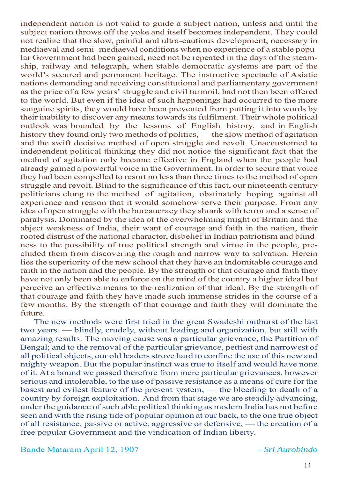independent nation is not valid to guide a subject nation, unless and until the subject nation throws off the yoke and itself becomes independent. They could not realize that the slow, painful and ultra-cautious development, necessary in mediaeval and semi- mediaeval conditions when no experience of a stable popular Government had been gained, need not be repeated in the days of the steamship, railway and telegraph, when stable democratic systems are part of the world's secured and permanent heritage. The instructive spectacle of Asiatic nations demanding and receiving constitutional and parliamentary government as the price of a few years' struggle and civil turmoil, had not then been offered to the world. But even if the idea of such happenings had occurred to the more sanguine spirits, they would have been prevented from putting it into words by their inability to discover any means towards its fulfilment. Their whole political outlook was bounded by the lessons of English history, and in English history they found only two methods of politics, — the slow method of agitation and the swift decisive method of open struggle and revolt. Unaccustomed to independent political thinking they did not notice the significant fact that the method of agitation only became effective in England when the people had already gained a powerful voice in the Government. In order to secure that voice they had been compelled to resort no less than three times to the method of open struggle and revolt. Blind to the significance of this fact, our nineteenth century politicians clung to the method of agitation, obstinately hoping against all experience and reason that it would somehow serve their purpose. From any idea of open struggle with the bureaucracy they shrank with terror and a sense of paralysis. Dominated by the idea of the overwhelming might of Britain and the abject weakness of India, their want of courage and faith in the nation, their rooted distrust of the national character, disbelief in Indian patriotism and blindness to the possibility of true political strength and virtue in the people, precluded them from discovering the rough and narrow way to salvation. Herein lies the superiority of the new school that they have an indomitable courage and faith in the nation and the people. By the strength of that courage and faith they have not only been able to enforce on the mind of the country a higher ideal but perceive an effective means to the realization of that ideal. By the strength of that courage and faith they have made such immense strides in the course of a few months. By the strength of that courage and faith they will dominate the future.

The new methods were first tried in the great Swadeshi outburst of the last two years, — blindly, crudely, without leading and organization, but still with amazing results. The moving cause was a particular grievance, the Partition of Bengal; and to the removal of the particular grievance, pettiest and narrowest of all political objects, our old leaders strove hard to confine the use of this new and mighty weapon. But the popular instinct was true to itself and would have none of it. At a bound we passed therefore from mere particular grievances, however serious and intolerable, to the use of passive resistance as a means of cure for the basest and evilest feature of the present system, — the bleeding to death of a country by foreign exploitation. And from that stage we are steadily advancing, under the guidance of such able political thinking as modern India has not before seen and with the rising tide of popular opinion at our back, to the one true object of all resistance, passive or active, aggressive or defensive, — the creation of a free popular Government and the vindication of Indian liberty.

Bande Mataram April 12, 1907 – *Sri Aurobindo*